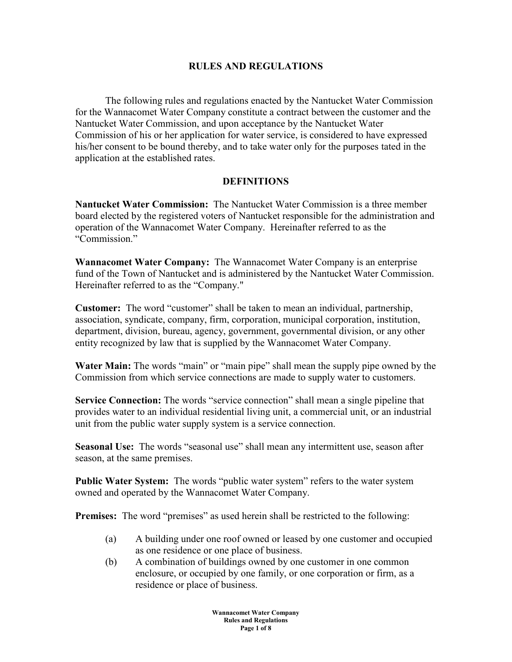### **RULES AND REGULATIONS**

The following rules and regulations enacted by the Nantucket Water Commission for the Wannacomet Water Company constitute a contract between the customer and the Nantucket Water Commission, and upon acceptance by the Nantucket Water Commission of his or her application for water service, is considered to have expressed his/her consent to be bound thereby, and to take water only for the purposes tated in the application at the established rates.

### **DEFINITIONS**

**Nantucket Water Commission:** The Nantucket Water Commission is a three member board elected by the registered voters of Nantucket responsible for the administration and operation of the Wannacomet Water Company. Hereinafter referred to as the "Commission."

**Wannacomet Water Company:** The Wannacomet Water Company is an enterprise fund of the Town of Nantucket and is administered by the Nantucket Water Commission. Hereinafter referred to as the "Company."

**Customer:** The word "customer" shall be taken to mean an individual, partnership, association, syndicate, company, firm, corporation, municipal corporation, institution, department, division, bureau, agency, government, governmental division, or any other entity recognized by law that is supplied by the Wannacomet Water Company.

**Water Main:** The words "main" or "main pipe" shall mean the supply pipe owned by the Commission from which service connections are made to supply water to customers.

**Service Connection:** The words "service connection" shall mean a single pipeline that provides water to an individual residential living unit, a commercial unit, or an industrial unit from the public water supply system is a service connection.

**Seasonal Use:** The words "seasonal use" shall mean any intermittent use, season after season, at the same premises.

**Public Water System:** The words "public water system" refers to the water system owned and operated by the Wannacomet Water Company.

**Premises:** The word "premises" as used herein shall be restricted to the following:

- (a) A building under one roof owned or leased by one customer and occupied as one residence or one place of business.
- (b) A combination of buildings owned by one customer in one common enclosure, or occupied by one family, or one corporation or firm, as a residence or place of business.

**Wannacomet Water Company Rules and Regulations Page 1 of 8**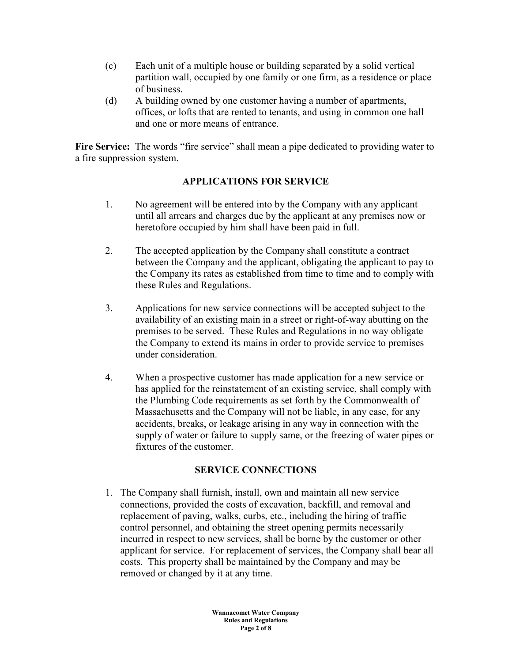- (c) Each unit of a multiple house or building separated by a solid vertical partition wall, occupied by one family or one firm, as a residence or place of business.
- (d) A building owned by one customer having a number of apartments, offices, or lofts that are rented to tenants, and using in common one hall and one or more means of entrance.

**Fire Service:** The words "fire service" shall mean a pipe dedicated to providing water to a fire suppression system.

# **APPLICATIONS FOR SERVICE**

- 1. No agreement will be entered into by the Company with any applicant until all arrears and charges due by the applicant at any premises now or heretofore occupied by him shall have been paid in full.
- 2. The accepted application by the Company shall constitute a contract between the Company and the applicant, obligating the applicant to pay to the Company its rates as established from time to time and to comply with these Rules and Regulations.
- 3. Applications for new service connections will be accepted subject to the availability of an existing main in a street or right-of-way abutting on the premises to be served. These Rules and Regulations in no way obligate the Company to extend its mains in order to provide service to premises under consideration.
- 4. When a prospective customer has made application for a new service or has applied for the reinstatement of an existing service, shall comply with the Plumbing Code requirements as set forth by the Commonwealth of Massachusetts and the Company will not be liable, in any case, for any accidents, breaks, or leakage arising in any way in connection with the supply of water or failure to supply same, or the freezing of water pipes or fixtures of the customer.

### **SERVICE CONNECTIONS**

1. The Company shall furnish, install, own and maintain all new service connections, provided the costs of excavation, backfill, and removal and replacement of paving, walks, curbs, etc., including the hiring of traffic control personnel, and obtaining the street opening permits necessarily incurred in respect to new services, shall be borne by the customer or other applicant for service. For replacement of services, the Company shall bear all costs. This property shall be maintained by the Company and may be removed or changed by it at any time.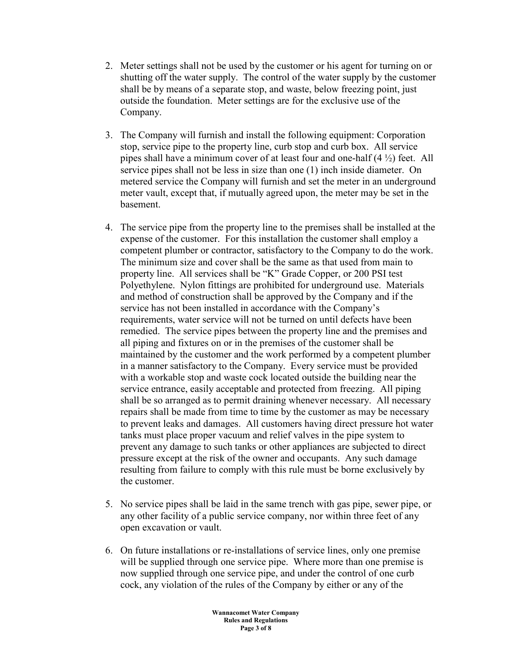- 2. Meter settings shall not be used by the customer or his agent for turning on or shutting off the water supply. The control of the water supply by the customer shall be by means of a separate stop, and waste, below freezing point, just outside the foundation. Meter settings are for the exclusive use of the Company.
- 3. The Company will furnish and install the following equipment: Corporation stop, service pipe to the property line, curb stop and curb box. All service pipes shall have a minimum cover of at least four and one-half  $(4 \frac{1}{2})$  feet. All service pipes shall not be less in size than one (1) inch inside diameter. On metered service the Company will furnish and set the meter in an underground meter vault, except that, if mutually agreed upon, the meter may be set in the basement.
- 4. The service pipe from the property line to the premises shall be installed at the expense of the customer. For this installation the customer shall employ a competent plumber or contractor, satisfactory to the Company to do the work. The minimum size and cover shall be the same as that used from main to property line. All services shall be "K" Grade Copper, or 200 PSI test Polyethylene. Nylon fittings are prohibited for underground use. Materials and method of construction shall be approved by the Company and if the service has not been installed in accordance with the Company's requirements, water service will not be turned on until defects have been remedied. The service pipes between the property line and the premises and all piping and fixtures on or in the premises of the customer shall be maintained by the customer and the work performed by a competent plumber in a manner satisfactory to the Company. Every service must be provided with a workable stop and waste cock located outside the building near the service entrance, easily acceptable and protected from freezing. All piping shall be so arranged as to permit draining whenever necessary. All necessary repairs shall be made from time to time by the customer as may be necessary to prevent leaks and damages. All customers having direct pressure hot water tanks must place proper vacuum and relief valves in the pipe system to prevent any damage to such tanks or other appliances are subjected to direct pressure except at the risk of the owner and occupants. Any such damage resulting from failure to comply with this rule must be borne exclusively by the customer.
- 5. No service pipes shall be laid in the same trench with gas pipe, sewer pipe, or any other facility of a public service company, nor within three feet of any open excavation or vault.
- 6. On future installations or re-installations of service lines, only one premise will be supplied through one service pipe. Where more than one premise is now supplied through one service pipe, and under the control of one curb cock, any violation of the rules of the Company by either or any of the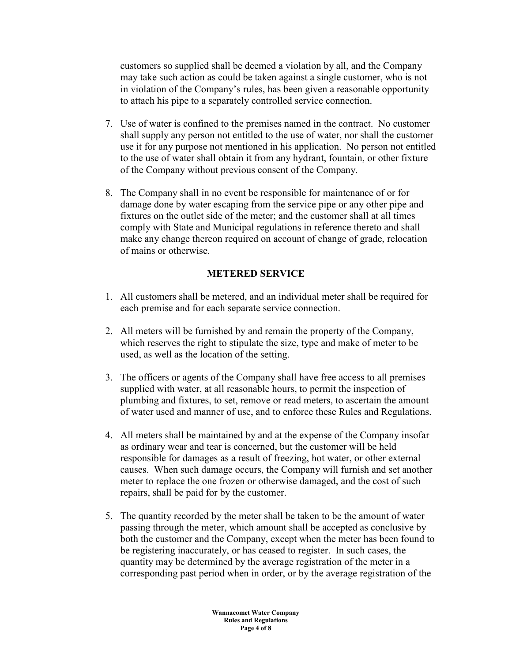customers so supplied shall be deemed a violation by all, and the Company may take such action as could be taken against a single customer, who is not in violation of the Company's rules, has been given a reasonable opportunity to attach his pipe to a separately controlled service connection.

- 7. Use of water is confined to the premises named in the contract. No customer shall supply any person not entitled to the use of water, nor shall the customer use it for any purpose not mentioned in his application. No person not entitled to the use of water shall obtain it from any hydrant, fountain, or other fixture of the Company without previous consent of the Company.
- 8. The Company shall in no event be responsible for maintenance of or for damage done by water escaping from the service pipe or any other pipe and fixtures on the outlet side of the meter; and the customer shall at all times comply with State and Municipal regulations in reference thereto and shall make any change thereon required on account of change of grade, relocation of mains or otherwise.

## **METERED SERVICE**

- 1. All customers shall be metered, and an individual meter shall be required for each premise and for each separate service connection.
- 2. All meters will be furnished by and remain the property of the Company, which reserves the right to stipulate the size, type and make of meter to be used, as well as the location of the setting.
- 3. The officers or agents of the Company shall have free access to all premises supplied with water, at all reasonable hours, to permit the inspection of plumbing and fixtures, to set, remove or read meters, to ascertain the amount of water used and manner of use, and to enforce these Rules and Regulations.
- 4. All meters shall be maintained by and at the expense of the Company insofar as ordinary wear and tear is concerned, but the customer will be held responsible for damages as a result of freezing, hot water, or other external causes. When such damage occurs, the Company will furnish and set another meter to replace the one frozen or otherwise damaged, and the cost of such repairs, shall be paid for by the customer.
- 5. The quantity recorded by the meter shall be taken to be the amount of water passing through the meter, which amount shall be accepted as conclusive by both the customer and the Company, except when the meter has been found to be registering inaccurately, or has ceased to register. In such cases, the quantity may be determined by the average registration of the meter in a corresponding past period when in order, or by the average registration of the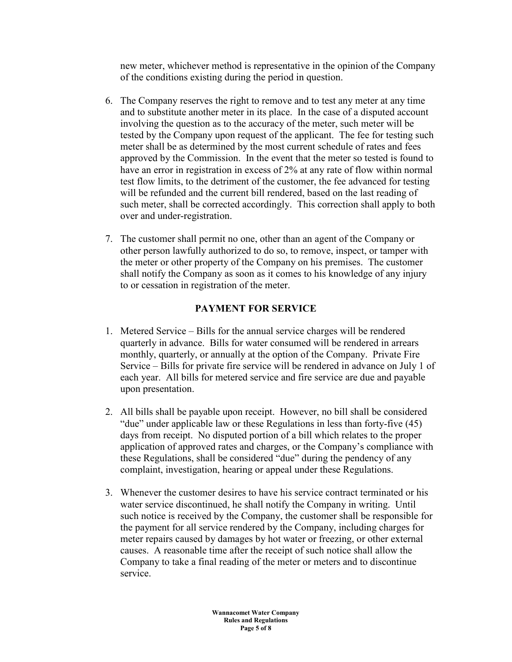new meter, whichever method is representative in the opinion of the Company of the conditions existing during the period in question.

- 6. The Company reserves the right to remove and to test any meter at any time and to substitute another meter in its place. In the case of a disputed account involving the question as to the accuracy of the meter, such meter will be tested by the Company upon request of the applicant. The fee for testing such meter shall be as determined by the most current schedule of rates and fees approved by the Commission. In the event that the meter so tested is found to have an error in registration in excess of 2% at any rate of flow within normal test flow limits, to the detriment of the customer, the fee advanced for testing will be refunded and the current bill rendered, based on the last reading of such meter, shall be corrected accordingly. This correction shall apply to both over and under-registration.
- 7. The customer shall permit no one, other than an agent of the Company or other person lawfully authorized to do so, to remove, inspect, or tamper with the meter or other property of the Company on his premises. The customer shall notify the Company as soon as it comes to his knowledge of any injury to or cessation in registration of the meter.

# **PAYMENT FOR SERVICE**

- 1. Metered Service Bills for the annual service charges will be rendered quarterly in advance. Bills for water consumed will be rendered in arrears monthly, quarterly, or annually at the option of the Company. Private Fire Service – Bills for private fire service will be rendered in advance on July 1 of each year. All bills for metered service and fire service are due and payable upon presentation.
- 2. All bills shall be payable upon receipt. However, no bill shall be considered "due" under applicable law or these Regulations in less than forty-five (45) days from receipt. No disputed portion of a bill which relates to the proper application of approved rates and charges, or the Company's compliance with these Regulations, shall be considered "due" during the pendency of any complaint, investigation, hearing or appeal under these Regulations.
- 3. Whenever the customer desires to have his service contract terminated or his water service discontinued, he shall notify the Company in writing. Until such notice is received by the Company, the customer shall be responsible for the payment for all service rendered by the Company, including charges for meter repairs caused by damages by hot water or freezing, or other external causes. A reasonable time after the receipt of such notice shall allow the Company to take a final reading of the meter or meters and to discontinue service.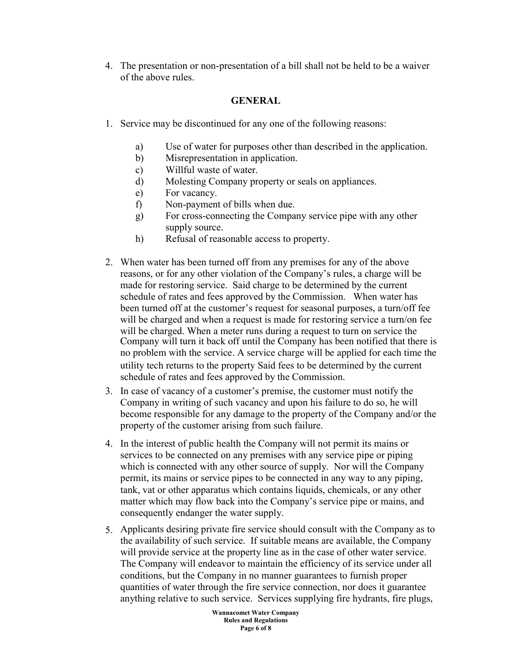4. The presentation or non-presentation of a bill shall not be held to be a waiver of the above rules.

## **GENERAL**

- 1. Service may be discontinued for any one of the following reasons:
	- a) Use of water for purposes other than described in the application.
	- b) Misrepresentation in application.
	- c) Willful waste of water.
	- d) Molesting Company property or seals on appliances.
	- e) For vacancy.
	- f) Non-payment of bills when due.
	- g) For cross-connecting the Company service pipe with any other supply source.
	- h) Refusal of reasonable access to property.
- 2. When water has been turned off from any premises for any of the above reasons, or for any other violation of the Company's rules, a charge will be made for restoring service. Said charge to be determined by the current schedule of rates and fees approved by the Commission. When water has been turned off at the customer's request for seasonal purposes, a turn/off fee will be charged and when a request is made for restoring service a turn/on fee will be charged. When a meter runs during a request to turn on service the Company will turn it back off until the Company has been notified that there is no problem with the service. A service charge will be applied for each time the utility tech returns to the property Said fees to be determined by the current schedule of rates and fees approved by the Commission.
- 3. In case of vacancy of a customer's premise, the customer must notify the Company in writing of such vacancy and upon his failure to do so, he will become responsible for any damage to the property of the Company and/or the property of the customer arising from such failure.
- 4. In the interest of public health the Company will not permit its mains or services to be connected on any premises with any service pipe or piping which is connected with any other source of supply. Nor will the Company permit, its mains or service pipes to be connected in any way to any piping, tank, vat or other apparatus which contains liquids, chemicals, or any other matter which may flow back into the Company's service pipe or mains, and consequently endanger the water supply.
- 5. Applicants desiring private fire service should consult with the Company as to the availability of such service. If suitable means are available, the Company will provide service at the property line as in the case of other water service. The Company will endeavor to maintain the efficiency of its service under all conditions, but the Company in no manner guarantees to furnish proper quantities of water through the fire service connection, nor does it guarantee anything relative to such service. Services supplying fire hydrants, fire plugs,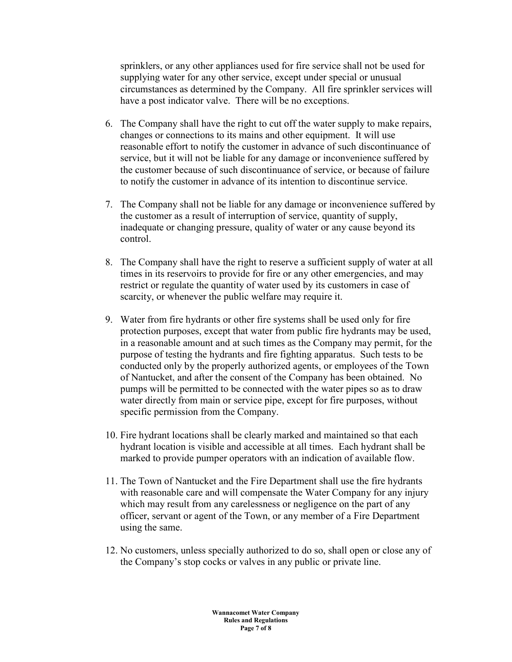sprinklers, or any other appliances used for fire service shall not be used for supplying water for any other service, except under special or unusual circumstances as determined by the Company. All fire sprinkler services will have a post indicator valve. There will be no exceptions.

- 6. The Company shall have the right to cut off the water supply to make repairs, changes or connections to its mains and other equipment. It will use reasonable effort to notify the customer in advance of such discontinuance of service, but it will not be liable for any damage or inconvenience suffered by the customer because of such discontinuance of service, or because of failure to notify the customer in advance of its intention to discontinue service.
- 7. The Company shall not be liable for any damage or inconvenience suffered by the customer as a result of interruption of service, quantity of supply, inadequate or changing pressure, quality of water or any cause beyond its control.
- 8. The Company shall have the right to reserve a sufficient supply of water at all times in its reservoirs to provide for fire or any other emergencies, and may restrict or regulate the quantity of water used by its customers in case of scarcity, or whenever the public welfare may require it.
- 9. Water from fire hydrants or other fire systems shall be used only for fire protection purposes, except that water from public fire hydrants may be used, in a reasonable amount and at such times as the Company may permit, for the purpose of testing the hydrants and fire fighting apparatus. Such tests to be conducted only by the properly authorized agents, or employees of the Town of Nantucket, and after the consent of the Company has been obtained. No pumps will be permitted to be connected with the water pipes so as to draw water directly from main or service pipe, except for fire purposes, without specific permission from the Company.
- 10. Fire hydrant locations shall be clearly marked and maintained so that each hydrant location is visible and accessible at all times. Each hydrant shall be marked to provide pumper operators with an indication of available flow.
- 11. The Town of Nantucket and the Fire Department shall use the fire hydrants with reasonable care and will compensate the Water Company for any injury which may result from any carelessness or negligence on the part of any officer, servant or agent of the Town, or any member of a Fire Department using the same.
- 12. No customers, unless specially authorized to do so, shall open or close any of the Company's stop cocks or valves in any public or private line.